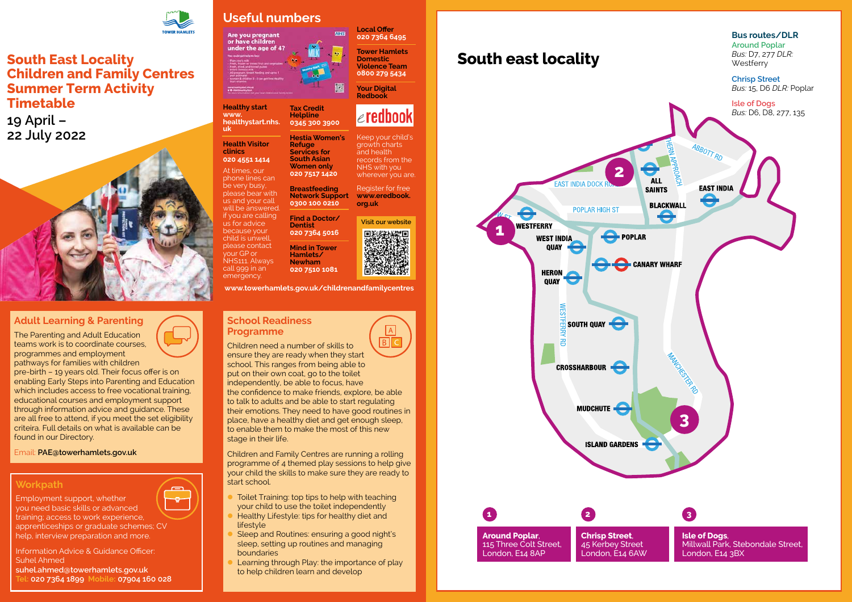

#### **School Readiness Programme**

 $\overline{B}$ Children need a number of skills to ensure they are ready when they start school. This ranges from being able to put on their own coat, go to the toilet independently, be able to focus, have the confidence to make friends, explore, be able to talk to adults and be able to start regulating their emotions. They need to have good routines in place, have a healthy diet and get enough sleep, to enable them to make the most of this new stage in their life.

- Toilet Training: top tips to help with teaching your child to use the toilet independently
- Healthy Lifestyle: tips for healthy diet and lifestyle
- Sleep and Routines: ensuring a good night's sleep, setting up routines and managing boundaries
- Learning through Play: the importance of play to help children learn and develop

Children and Family Centres are running a rolling programme of 4 themed play sessions to help give your child the skills to make sure they are ready to start school.

## **Adult Learning & Parenting**

The Parenting and Adult Education teams work is to coordinate courses, programmes and employment pathways for families with children

Keep your child's growth charts and health records from the NHS with you wherever you are.

pre-birth – 19 years old. Their focus offer is on enabling Early Steps into Parenting and Education which includes access to free vocational training. educational courses and employment support through information advice and guidance. These are all free to attend, if you meet the set eligibility criteira. Full details on what is available can be found in our Directory.

Email: **[PAE@towerhamlets.gov.uk](mailto:PAE@towerhamlets.gov.uk)**

## **Workpath**

-g-

Employment support, whether

you need basic skills or advanced training; access to work experience, apprenticeships or graduate schemes; CV help, interview preparation and more.

Information Advice & Guidance Officer: Suhel Ahmed **suhel.ahmed@towerhamlets.gov.uk Tel: 020 7364 1899 Mobile: 07904 160 028**



# **South East Locality Children and Family Centres Summer Term Activity Timetable**

**19 April – 22 July 2022**



# **Useful numbers**

Are you pregnant<br>or have children under the age of 4?

**Healthy start [www.](http://www.healthystart.nhs.uk) [healthystart.nhs.](http://www.healthystart.nhs.uk) [uk](http://www.healthystart.nhs.uk)**

**Health Visitor clinics** 

**020 4551 1414** At times, our phone lines can be very busy, please bear with us and your call will be answered. if you are calling us for advice because your child is unwell, please contact your GP or NHS111. Always call 999 in an

emergency.

**Tax Credit Helpline 0345 300 3900**

**Hestia Women's** 

**Refuge Services for South Asian Women only 020 7517 1420**

**Breastfeeding Network Support 0300 100 0210**

**Find a Doctor/ Dentist**

**020 7364 5016**

**Mind in Tower** 

**Hamlets/ Newham 020 7510 1081** **Local Offer 020 7364 6495**

**NHS** 

**Tower Hamlets Domestic Violence Team 0800 279 5434**

**Your Digital Redbook** 

# $\epsilon$ redbook

Register for free **[www.eredbook.](http://www.eredbook.org.uk) [org.uk](http://www.eredbook.org.uk)**

**[www.towerhamlets.gov.uk/childrenandfamilycentres](http://www.towerhamlets.gov.uk/childrenandfamilycentres)**